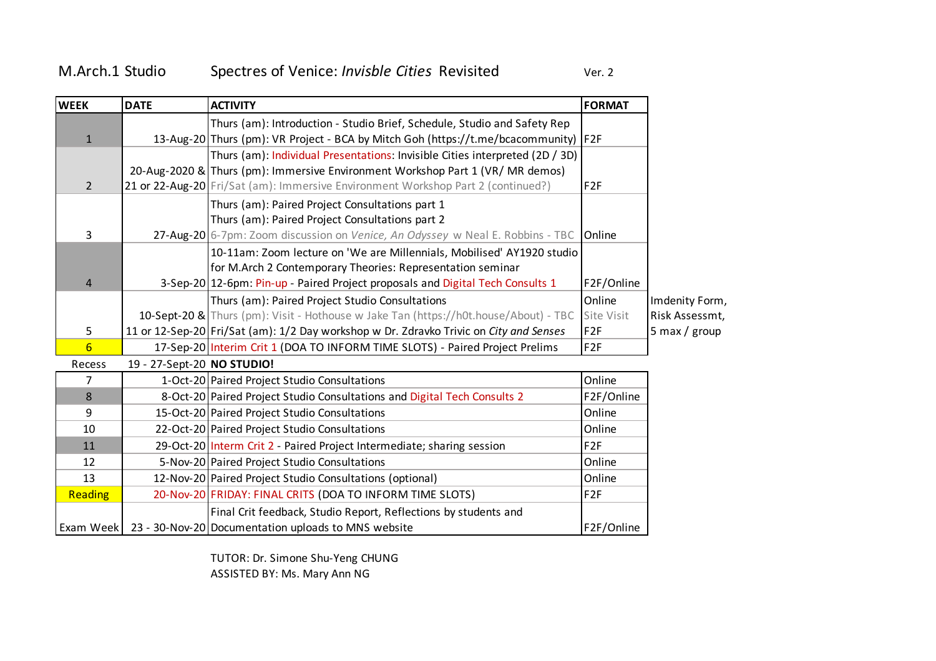## M.Arch.1 Studio Spectres of Venice: Invisble Cities Revisited Ver. 2

| <b>WEEK</b>     | <b>DATE</b>                | <b>ACTIVITY</b>                                                                        | <b>FORMAT</b>   |                 |
|-----------------|----------------------------|----------------------------------------------------------------------------------------|-----------------|-----------------|
|                 |                            | Thurs (am): Introduction - Studio Brief, Schedule, Studio and Safety Rep               |                 |                 |
| $\mathbf{1}$    |                            | 13-Aug-20 Thurs (pm): VR Project - BCA by Mitch Goh (https://t.me/bcacommunity) F2F    |                 |                 |
|                 |                            | Thurs (am): Individual Presentations: Invisible Cities interpreted (2D / 3D)           |                 |                 |
|                 |                            | 20-Aug-2020 & Thurs (pm): Immersive Environment Workshop Part 1 (VR/ MR demos)         |                 |                 |
| $\overline{2}$  |                            | 21 or 22-Aug-20 Fri/Sat (am): Immersive Environment Workshop Part 2 (continued?)       | F <sub>2F</sub> |                 |
|                 |                            | Thurs (am): Paired Project Consultations part 1                                        |                 |                 |
|                 |                            | Thurs (am): Paired Project Consultations part 2                                        |                 |                 |
| 3               |                            | 27-Aug-20 6-7pm: Zoom discussion on Venice, An Odyssey w Neal E. Robbins - TBC         | Online          |                 |
|                 |                            | 10-11am: Zoom lecture on 'We are Millennials, Mobilised' AY1920 studio                 |                 |                 |
|                 |                            | for M.Arch 2 Contemporary Theories: Representation seminar                             |                 |                 |
| 4               |                            | 3-Sep-20 12-6pm: Pin-up - Paired Project proposals and Digital Tech Consults 1         | F2F/Online      |                 |
|                 |                            | Thurs (am): Paired Project Studio Consultations                                        | Online          | Imdenity Form,  |
|                 |                            | 10-Sept-20 & Thurs (pm): Visit - Hothouse w Jake Tan (https://h0t.house/About) - TBC   | Site Visit      | Risk Assessmt,  |
| 5               |                            | 11 or 12-Sep-20 Fri/Sat (am): 1/2 Day workshop w Dr. Zdravko Trivic on City and Senses | F <sub>2F</sub> | 5 max / $group$ |
| $6\overline{6}$ |                            | 17-Sep-20 Interim Crit 1 (DOA TO INFORM TIME SLOTS) - Paired Project Prelims           | F <sub>2F</sub> |                 |
| Recess          | 19 - 27-Sept-20 NO STUDIO! |                                                                                        |                 |                 |
| 7               |                            | 1-Oct-20 Paired Project Studio Consultations                                           | Online          |                 |
| 8               |                            | 8-Oct-20 Paired Project Studio Consultations and Digital Tech Consults 2               | F2F/Online      |                 |
| 9               |                            | 15-Oct-20 Paired Project Studio Consultations                                          | Online          |                 |
| 10              |                            | 22-Oct-20 Paired Project Studio Consultations                                          | Online          |                 |
| 11              |                            | 29-Oct-20 Interm Crit 2 - Paired Project Intermediate; sharing session                 | F <sub>2F</sub> |                 |
| 12              |                            | 5-Nov-20 Paired Project Studio Consultations                                           | Online          |                 |
| 13              |                            | 12-Nov-20 Paired Project Studio Consultations (optional)                               | Online          |                 |
| <b>Reading</b>  |                            | 20-Nov-20 FRIDAY: FINAL CRITS (DOA TO INFORM TIME SLOTS)                               | F <sub>2F</sub> |                 |
|                 |                            | Final Crit feedback, Studio Report, Reflections by students and                        |                 |                 |
|                 |                            | Exam Week   23 - 30-Nov-20 Documentation uploads to MNS website                        | F2F/Online      |                 |

TUTOR: Dr. Simone Shu-Yeng CHUNG ASSISTED BY: Ms. Mary Ann NG